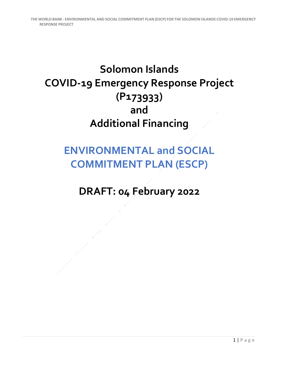## **Solomon Islands COVID-19 Emergency Response Project (P173933) and Additional Financing**

## **ENVIRONMENTAL and SOCIAL COMMITMENT PLAN (ESCP)**

**DRAFT: 04 February 2022**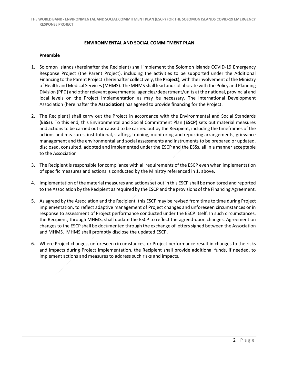## **ENVIRONMENTAL AND SOCIAL COMMITMENT PLAN**

## **Preamble**

- 1. Solomon Islands (hereinafter the Recipient) shall implement the Solomon Islands COVID-19 Emergency Response Project (the Parent Project), including the activities to be supported under the Additional Financing to the Parent Project (hereinafter collectively, the **Project**), with the involvement of the Ministry of Health and Medical Services (MHMS). The MHMS shall lead and collaborate with the Policy and Planning Division (PPD) and other relevant governmental agencies/department/units at the national, provincial and local levels on the Project Implementation as may be necessary. The International Development Association (hereinafter the **Association**) has agreed to provide financing for the Project.
- 2. The Recipient] shall carry out the Project in accordance with the Environmental and Social Standards (**ESSs**). To this end, this Environmental and Social Commitment Plan (**ESCP**) sets out material measures and actions to be carried out or caused to be carried out by the Recipient, including the timeframes of the actions and measures, institutional, staffing, training, monitoring and reporting arrangements, grievance management and the environmental and social assessments and instruments to be prepared or updated, disclosed, consulted, adopted and implemented under the ESCP and the ESSs, all in a manner acceptable to the Association
- 3. The Recipient is responsible for compliance with all requirements of the ESCP even when implementation of specific measures and actions is conducted by the Ministry referenced in 1. above.
- 4. Implementation of the material measures and actions set out in this ESCP shall be monitored and reported to the Association by the Recipient as required by the ESCP and the provisions of the Financing Agreement.
- 5. As agreed by the Association and the Recipient, this ESCP may be revised from time to time during Project implementation, to reflect adaptive management of Project changes and unforeseen circumstances or in response to assessment of Project performance conducted under the ESCP itself. In such circumstances, the Recipient, through MHMS, shall update the ESCP to reflect the agreed-upon changes. Agreement on changes to the ESCP shall be documented through the exchange of letters signed between the Association and MHMS. MHMS shall promptly disclose the updated ESCP.
- 6. Where Project changes, unforeseen circumstances, or Project performance result in changes to the risks and impacts during Project implementation, the Recipient shall provide additional funds, if needed, to implement actions and measures to address such risks and impacts.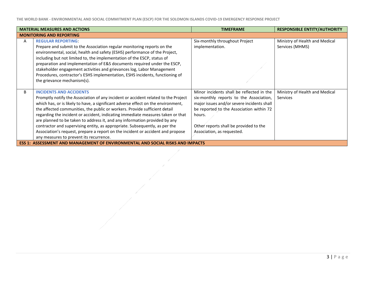**THE WORLD BANK - ENVIRONMENTAL AND SOCIAL COMMITMENT PLAN (ESCP) FOR THE SOLOMON ISLANDS COVID-19 EMERGENCY RESPONSE PROJECT**

| <b>MATERIAL MEASURES AND ACTIONS</b> |                                                                                       | <b>TIMEFRAME</b>                           | <b>RESPONSIBLE ENTITY/AUTHORITY</b> |  |  |  |
|--------------------------------------|---------------------------------------------------------------------------------------|--------------------------------------------|-------------------------------------|--|--|--|
|                                      | <b>MONITORING AND REPORTING</b>                                                       |                                            |                                     |  |  |  |
| A                                    | <b>REGULAR REPORTING:</b>                                                             | Six-monthly throughout Project             | Ministry of Health and Medical      |  |  |  |
|                                      | Prepare and submit to the Association regular monitoring reports on the               | implementation.                            | Services (MHMS)                     |  |  |  |
|                                      | environmental, social, health and safety (ESHS) performance of the Project,           |                                            |                                     |  |  |  |
|                                      | including but not limited to, the implementation of the ESCP, status of               |                                            |                                     |  |  |  |
|                                      | preparation and implementation of E&S documents required under the ESCP,              |                                            |                                     |  |  |  |
|                                      | stakeholder engagement activities and grievances log, Labor Management                |                                            |                                     |  |  |  |
|                                      | Procedures, contractor's ESHS implementation, ESHS incidents, functioning of          |                                            |                                     |  |  |  |
|                                      | the grievance mechanism(s).                                                           |                                            |                                     |  |  |  |
|                                      |                                                                                       |                                            |                                     |  |  |  |
| B                                    | <b>INCIDENTS AND ACCIDENTS</b>                                                        | Minor incidents shall be reflected in the  | Ministry of Health and Medical      |  |  |  |
|                                      | Promptly notify the Association of any incident or accident related to the Project    | six-monthly reports to the Association,    | Services                            |  |  |  |
|                                      | which has, or is likely to have, a significant adverse effect on the environment,     | major issues and/or severe incidents shall |                                     |  |  |  |
|                                      | the affected communities, the public or workers. Provide sufficient detail            | be reported to the Association within 72   |                                     |  |  |  |
|                                      | regarding the incident or accident, indicating immediate measures taken or that       | hours.                                     |                                     |  |  |  |
|                                      | are planned to be taken to address it, and any information provided by any            |                                            |                                     |  |  |  |
|                                      | contractor and supervising entity, as appropriate. Subsequently, as per the           | Other reports shall be provided to the     |                                     |  |  |  |
|                                      | Association's request, prepare a report on the incident or accident and propose       | Association, as requested.                 |                                     |  |  |  |
|                                      | any measures to prevent its recurrence.                                               |                                            |                                     |  |  |  |
|                                      | <b>ESS 1: ASSESSMENT AND MANAGEMENT OF ENVIRONMENTAL AND SOCIAL RISKS AND IMPACTS</b> |                                            |                                     |  |  |  |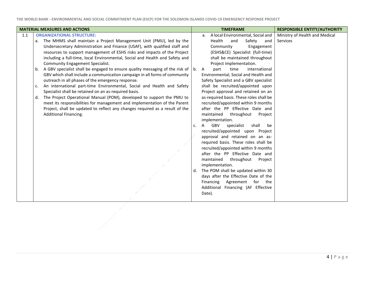| A local Environmental, Social and<br><b>ORGANIZATIONAL STRUCTURE:</b><br>Ministry of Health and Medical<br>1.1<br>a.<br>a. The MHMS shall maintain a Project Management Unit (PMU), led by the<br>Health<br>and<br>Safety<br>Services<br>and<br>Undersecretary Administration and Finance (USAF), with qualified staff and<br>Community<br>Engagement<br>resources to support management of ESHS risks and impacts of the Project<br>(ESHS&CE) Specialist (full-time)<br>including a full-time, local Environmental, Social and Health and Safety and<br>shall be maintained throughout<br><b>Community Engagement Specialist.</b><br>Project implementation.<br>A GBV specialist shall be engaged to ensure quality messaging of the risk of $\vert$ b.<br>part<br>time<br>international<br>A<br>b.<br>GBV which shall include a communication campaign in all forms of community<br>Environmental, Social and Health and<br>outreach in all phases of the emergency response.<br>Safety Specialist and a GBV specialist<br>An international part-time Environmental, Social and Health and Safety<br>shall be recruited/appointed upon<br>c.<br>Specialist shall be retained on an as-required basis.<br>Project approval and retained on an<br>The Project Operational Manual (POM), developed to support the PMU to<br>as-required basis. These roles shall be<br>d.<br>meet its responsibilities for management and implementation of the Parent<br>recruited/appointed within 9 months<br>Project, shall be updated to reflect any changes required as a result of the<br>after the PP Effective Date and<br>Additional Financing.<br>maintained throughout<br>Project<br>implementation.<br>GBV<br>specialist<br>shall<br>$\mathsf{A}$<br>be<br>c.<br>recruited/appointed upon Project<br>approval and retained on an as-<br>required basis. These roles shall be<br>recruited/appointed within 9 months<br>after the PP Effective Date and<br>maintained throughout<br>Project<br>implementation.<br>The POM shall be updated within 30<br>d.<br>days after the Effective Date of the<br>Financing Agreement<br>for the<br>Additional Financing (AF Effective<br>Date). | <b>MATERIAL MEASURES AND ACTIONS</b> | <b>TIMEFRAME</b> | <b>RESPONSIBLE ENTITY/AUTHORITY</b> |
|---------------------------------------------------------------------------------------------------------------------------------------------------------------------------------------------------------------------------------------------------------------------------------------------------------------------------------------------------------------------------------------------------------------------------------------------------------------------------------------------------------------------------------------------------------------------------------------------------------------------------------------------------------------------------------------------------------------------------------------------------------------------------------------------------------------------------------------------------------------------------------------------------------------------------------------------------------------------------------------------------------------------------------------------------------------------------------------------------------------------------------------------------------------------------------------------------------------------------------------------------------------------------------------------------------------------------------------------------------------------------------------------------------------------------------------------------------------------------------------------------------------------------------------------------------------------------------------------------------------------------------------------------------------------------------------------------------------------------------------------------------------------------------------------------------------------------------------------------------------------------------------------------------------------------------------------------------------------------------------------------------------------------------------------------------------------------------------------------------------------------------------------------------------------------------|--------------------------------------|------------------|-------------------------------------|
|                                                                                                                                                                                                                                                                                                                                                                                                                                                                                                                                                                                                                                                                                                                                                                                                                                                                                                                                                                                                                                                                                                                                                                                                                                                                                                                                                                                                                                                                                                                                                                                                                                                                                                                                                                                                                                                                                                                                                                                                                                                                                                                                                                                 |                                      |                  |                                     |
|                                                                                                                                                                                                                                                                                                                                                                                                                                                                                                                                                                                                                                                                                                                                                                                                                                                                                                                                                                                                                                                                                                                                                                                                                                                                                                                                                                                                                                                                                                                                                                                                                                                                                                                                                                                                                                                                                                                                                                                                                                                                                                                                                                                 |                                      |                  |                                     |
|                                                                                                                                                                                                                                                                                                                                                                                                                                                                                                                                                                                                                                                                                                                                                                                                                                                                                                                                                                                                                                                                                                                                                                                                                                                                                                                                                                                                                                                                                                                                                                                                                                                                                                                                                                                                                                                                                                                                                                                                                                                                                                                                                                                 |                                      |                  |                                     |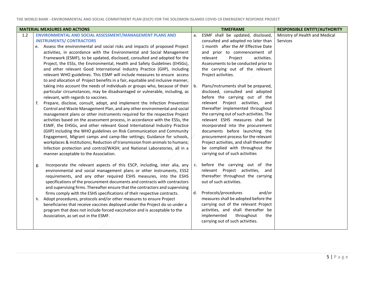|     | <b>MATERIAL MEASURES AND ACTIONS</b>                                                                              |    | <b>TIMEFRAME</b>                                                             | <b>RESPONSIBLE ENTITY/AUTHORITY</b> |
|-----|-------------------------------------------------------------------------------------------------------------------|----|------------------------------------------------------------------------------|-------------------------------------|
| 1.2 | ENVIRONMENTAL AND SOCIAL ASSESSMENT/MANAGEMENT PLANS AND                                                          | a. | ESMF shall be updated, disclosed,                                            | Ministry of Health and Medical      |
|     | <b>INSTRUMENTS/ CONTRACTORS</b>                                                                                   |    | consulted and adopted no later than                                          | Services                            |
|     | e. Assess the environmental and social risks and impacts of proposed Project                                      |    | 1 month after the AF Effective Date                                          |                                     |
|     | activities, in accordance with the Environmental and Social Management                                            |    | and prior to commencement of                                                 |                                     |
|     | Framework (ESMF), to be updated, disclosed, consulted and adopted for the                                         |    | relevant<br>Project<br>activities.                                           |                                     |
|     | Project, the ESSs, the Environmental, Health and Safety Guidelines (EHSGs),                                       |    | Assessments to be conducted prior to                                         |                                     |
|     | and other relevant Good International Industry Practice (GIIP), including                                         |    | the carrying out of the relevant                                             |                                     |
|     | relevant WHO guidelines. This ESMF will include measures to ensure access                                         |    | Project activities.                                                          |                                     |
|     | to and allocation of Project benefits in a fair, equitable and inclusive manner,                                  |    |                                                                              |                                     |
|     | taking into account the needs of individuals or groups who, because of their                                      | b. | Plans/instruments shall be prepared,                                         |                                     |
|     | particular circumstances, may be disadvantaged or vulnerable, including, as                                       |    | disclosed, consulted and adopted                                             |                                     |
|     | relevant, with regards to vaccines.                                                                               |    | before the carrying out of the                                               |                                     |
|     | Prepare, disclose, consult, adopt, and implement the Infection Prevention<br>f.                                   |    | relevant Project activities, and                                             |                                     |
|     | Control and Waste Management Plan, and any other environmental and social                                         |    | thereafter implemented throughout                                            |                                     |
|     | management plans or other instruments required for the respective Project                                         |    | the carrying out of such activities. The                                     |                                     |
|     | activities based on the assessment process, in accordance with the ESSs, the                                      |    | relevant ESHS measures shall be                                              |                                     |
|     | ESMF, the EHSGs, and other relevant Good International Industry Practice                                          |    | incorporated into the procurement                                            |                                     |
|     | (GIIP) including the WHO guidelines on Risk Communication and Community                                           |    | documents before launching the                                               |                                     |
|     | Engagement, Migrant camps and camp-like settings; Guidance for schools,                                           |    | procurement process for the relevant                                         |                                     |
|     | workplaces & institutions; Reduction of transmission from animals to humans;                                      |    | Project activities, and shall thereafter                                     |                                     |
|     | Infection protection and control/WASH; and National Laboratories, all in a                                        |    | be complied with throughout the                                              |                                     |
|     | manner acceptable to the Association.                                                                             |    | carrying out of such activities                                              |                                     |
|     |                                                                                                                   |    |                                                                              |                                     |
|     | Incorporate the relevant aspects of this ESCP, including, inter alia, any<br>g.                                   | C. | before the carrying out of the                                               |                                     |
|     | environmental and social management plans or other instruments, ESS2                                              |    | relevant Project activities, and                                             |                                     |
|     | requirements, and any other required ESHS measures, into the ESHS                                                 |    | thereafter throughout the carrying                                           |                                     |
|     | specifications of the procurement documents and contracts with contractors                                        |    | out of such activities.                                                      |                                     |
|     | and supervising firms. Thereafter ensure that the contractors and supervising                                     |    |                                                                              |                                     |
|     | firms comply with the ESHS specifications of their respective contracts.                                          | d. | Protocols/procedures<br>and/or                                               |                                     |
|     | Adopt procedures, protocols and/or other measures to ensure Project<br>h.                                         |    | measures shall be adopted before the<br>carrying out of the relevant Project |                                     |
|     | beneficiaries that receive vaccines deployed under the Project do so under a                                      |    | activities, and shall thereafter be                                          |                                     |
|     | program that does not include forced vaccination and is acceptable to the<br>Association, as set out in the ESMF. |    | implemented<br>throughout<br>the                                             |                                     |
|     |                                                                                                                   |    | carrying out of such activities.                                             |                                     |
|     |                                                                                                                   |    |                                                                              |                                     |
|     |                                                                                                                   |    |                                                                              |                                     |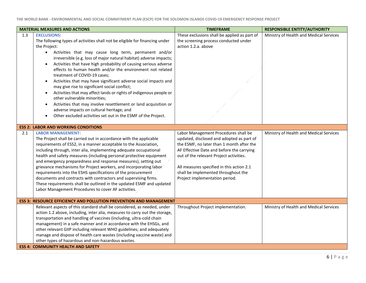|     | <b>MATERIAL MEASURES AND ACTIONS</b>                                                                                                                                                                                                                                                                                                                                                                                                                                                                                                                                                                                                                                                                                                                                                                                                                                                           | <b>TIMEFRAME</b>                                                                                                                                                                                                                                                                                                                             | <b>RESPONSIBLE ENTITY/AUTHORITY</b>     |
|-----|------------------------------------------------------------------------------------------------------------------------------------------------------------------------------------------------------------------------------------------------------------------------------------------------------------------------------------------------------------------------------------------------------------------------------------------------------------------------------------------------------------------------------------------------------------------------------------------------------------------------------------------------------------------------------------------------------------------------------------------------------------------------------------------------------------------------------------------------------------------------------------------------|----------------------------------------------------------------------------------------------------------------------------------------------------------------------------------------------------------------------------------------------------------------------------------------------------------------------------------------------|-----------------------------------------|
| 1.3 | <b>EXCLUSIONS:</b><br>The following types of activities shall not be eligible for financing under<br>the Project:<br>Activities that may cause long term, permanent and/or<br>$\bullet$<br>irreversible (e.g. loss of major natural habitat) adverse impacts;<br>Activities that have high probability of causing serious adverse<br>$\bullet$<br>effects to human health and/or the environment not related<br>treatment of COVID-19 cases;<br>Activities that may have significant adverse social impacts and<br>$\bullet$<br>may give rise to significant social conflict;<br>Activities that may affect lands or rights of indigenous people or<br>$\bullet$<br>other vulnerable minorities;<br>Activities that may involve resettlement or land acquisition or<br>$\bullet$<br>adverse impacts on cultural heritage; and<br>Other excluded activities set out in the ESMF of the Project. | These exclusions shall be applied as part of<br>the screening process conducted under<br>action 1.2.a. above                                                                                                                                                                                                                                 | Ministry of Health and Medical Services |
|     | <b>ESS 2: LABOR AND WORKING CONDITIONS</b>                                                                                                                                                                                                                                                                                                                                                                                                                                                                                                                                                                                                                                                                                                                                                                                                                                                     |                                                                                                                                                                                                                                                                                                                                              |                                         |
| 2.1 | <b>LABOR MANAGEMENT:</b><br>The Project shall be carried out in accordance with the applicable<br>requirements of ESS2, in a manner acceptable to the Association,<br>including through, inter alia, implementing adequate occupational<br>health and safety measures (including personal protective equipment<br>and emergency preparedness and response measures), setting out<br>grievance mechanisms for Project workers, and incorporating labor<br>requirements into the ESHS specifications of the procurement<br>documents and contracts with contractors and supervising firms.<br>These requirements shall be outlined in the updated ESMF and updated<br>Labor Management Procedures to cover AF activities.                                                                                                                                                                        | Labor Management Procedures shall be<br>updated, disclosed and adopted as part of<br>the ESMF, no later than 1 month after the<br>AF Effective Date and before the carrying<br>out of the relevant Project activities.<br>All measures specified in this action 2.1<br>shall be implemented throughout the<br>Project implementation period. | Ministry of Health and Medical Services |
|     | <b>ESS 3: RESOURCE EFFICIENCY AND POLLUTION PREVENTION AND MANAGEMENT</b>                                                                                                                                                                                                                                                                                                                                                                                                                                                                                                                                                                                                                                                                                                                                                                                                                      |                                                                                                                                                                                                                                                                                                                                              |                                         |
|     | Relevant aspects of this standard shall be considered, as needed, under<br>action 1.2 above, including, inter alia, measures to carry out the storage,<br>transportation and handling of vaccines (including, ultra-cold chain<br>management) in a safe manner and in accordance with the EHSGs, and<br>other relevant GIIP including relevant WHO guidelines; and adequately<br>manage and dispose of health care wastes (including vaccine waste) and<br>other types of hazardous and non-hazardous wastes.<br><b>ESS 4: COMMUNITY HEALTH AND SAFETY</b>                                                                                                                                                                                                                                                                                                                                     | Throughout Project implementation.                                                                                                                                                                                                                                                                                                           | Ministry of Health and Medical Services |
|     |                                                                                                                                                                                                                                                                                                                                                                                                                                                                                                                                                                                                                                                                                                                                                                                                                                                                                                |                                                                                                                                                                                                                                                                                                                                              |                                         |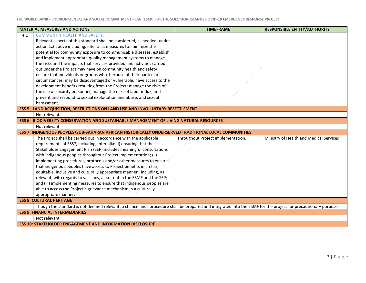**THE WORLD BANK - ENVIRONMENTAL AND SOCIAL COMMITMENT PLAN (ESCP) FOR THE SOLOMON ISLANDS COVID-19 EMERGENCY RESPONSE PROJECT**

|                                                                                       | <b>MATERIAL MEASURES AND ACTIONS</b>                                                                                                                                                                      | <b>TIMEFRAME</b>                   | <b>RESPONSIBLE ENTITY/AUTHORITY</b>     |  |  |
|---------------------------------------------------------------------------------------|-----------------------------------------------------------------------------------------------------------------------------------------------------------------------------------------------------------|------------------------------------|-----------------------------------------|--|--|
| 4.1                                                                                   | <b>COMMUNITY HEALTH AND SAFETY:</b>                                                                                                                                                                       |                                    |                                         |  |  |
|                                                                                       | Relevant aspects of this standard shall be considered, as needed, under                                                                                                                                   |                                    |                                         |  |  |
|                                                                                       | action 1.2 above including, inter alia, measures to: minimize the                                                                                                                                         |                                    |                                         |  |  |
|                                                                                       | potential for community exposure to communicable diseases; establish                                                                                                                                      |                                    |                                         |  |  |
|                                                                                       | and implement appropriate quality management systems to manage                                                                                                                                            |                                    |                                         |  |  |
|                                                                                       | the risks and the impacts that services provided and activities carried                                                                                                                                   |                                    |                                         |  |  |
|                                                                                       | out under the Project may have on community health and safety;                                                                                                                                            |                                    |                                         |  |  |
|                                                                                       | ensure that individuals or groups who, because of their particular                                                                                                                                        |                                    |                                         |  |  |
|                                                                                       | circumstances, may be disadvantaged or vulnerable, have access to the                                                                                                                                     |                                    |                                         |  |  |
|                                                                                       | development benefits resulting from the Project; manage the risks of                                                                                                                                      |                                    |                                         |  |  |
|                                                                                       | the use of security personnel; manage the risks of labor influx; and                                                                                                                                      |                                    |                                         |  |  |
|                                                                                       | prevent and respond to sexual exploitation and abuse, and sexual                                                                                                                                          |                                    |                                         |  |  |
|                                                                                       | harassment.                                                                                                                                                                                               |                                    |                                         |  |  |
| <b>ESS 5: LAND ACQUISITION, RESTRICTIONS ON LAND USE AND INVOLUNTARY RESETTLEMENT</b> |                                                                                                                                                                                                           |                                    |                                         |  |  |
|                                                                                       | Not relevant.                                                                                                                                                                                             |                                    |                                         |  |  |
|                                                                                       | <b>ESS 6: BIODIVERSITY CONSERVATION AND SUSTAINABLE MANAGEMENT OF LIVING NATURAL RESOURCES</b>                                                                                                            |                                    |                                         |  |  |
|                                                                                       | Not relevant                                                                                                                                                                                              |                                    |                                         |  |  |
|                                                                                       | ESS 7: INDIGENOUS PEOPLES/SUB-SAHARAN AFRICAN HISTORICALLY UNDERSERVED TRADITIONAL LOCAL COMMUNITIES                                                                                                      |                                    |                                         |  |  |
|                                                                                       | The Project shall be carried out in accordance with the applicable                                                                                                                                        | Throughout Project implementation. | Ministry of Health and Medical Services |  |  |
|                                                                                       | requirements of ESS7, including, inter alia: (i) ensuring that the                                                                                                                                        |                                    |                                         |  |  |
|                                                                                       | Stakeholder Engagement Plan (SEP) includes meaningful consultations                                                                                                                                       |                                    |                                         |  |  |
|                                                                                       | with indigenous peoples throughout Project implementation; (ii)                                                                                                                                           |                                    |                                         |  |  |
|                                                                                       | implementing procedures, protocols and/or other measures to ensure                                                                                                                                        |                                    |                                         |  |  |
|                                                                                       | that indigenous peoples have access to Project benefits in an fair,                                                                                                                                       |                                    |                                         |  |  |
|                                                                                       | equitable, inclusive and culturally appropriate manner, including, as<br>relevant, with regards to vaccines, as set out in the ESMF and the SEP;                                                          |                                    |                                         |  |  |
|                                                                                       | and (iii) implementing measures to ensure that indigenous peoples are                                                                                                                                     |                                    |                                         |  |  |
|                                                                                       | able to access the Project's grievance mechanism in a culturally                                                                                                                                          |                                    |                                         |  |  |
|                                                                                       | appropriate manner.                                                                                                                                                                                       |                                    |                                         |  |  |
|                                                                                       | <b>ESS 8: CULTURAL HERITAGE</b>                                                                                                                                                                           |                                    |                                         |  |  |
|                                                                                       |                                                                                                                                                                                                           |                                    |                                         |  |  |
|                                                                                       | Though the standard is not deemed relevant, a chance finds procedure shall be prepared and integrated into the ESMF for the project for precautionary purposes.<br><b>ESS 9: FINANCIAL INTERMEDIARIES</b> |                                    |                                         |  |  |
|                                                                                       | Not relevant                                                                                                                                                                                              |                                    |                                         |  |  |
|                                                                                       | <b>ESS 10: STAKEHOLDER ENGAGEMENT AND INFORMATION DISCLOSURE</b>                                                                                                                                          |                                    |                                         |  |  |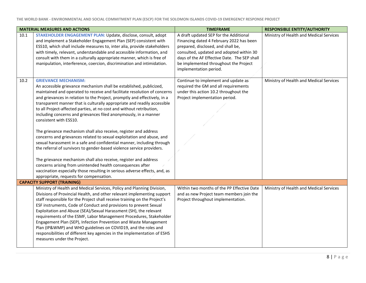|      | <b>MATERIAL MEASURES AND ACTIONS</b>                                                                                                                                                                                                                                                                                                                                                                                                                                                                                                                                                                                                                                                                                                                                                                                                                                                                                                                                                                                                                                     | <b>TIMEFRAME</b>                                                                                                                                                                                                                                                                        | <b>RESPONSIBLE ENTITY/AUTHORITY</b>     |
|------|--------------------------------------------------------------------------------------------------------------------------------------------------------------------------------------------------------------------------------------------------------------------------------------------------------------------------------------------------------------------------------------------------------------------------------------------------------------------------------------------------------------------------------------------------------------------------------------------------------------------------------------------------------------------------------------------------------------------------------------------------------------------------------------------------------------------------------------------------------------------------------------------------------------------------------------------------------------------------------------------------------------------------------------------------------------------------|-----------------------------------------------------------------------------------------------------------------------------------------------------------------------------------------------------------------------------------------------------------------------------------------|-----------------------------------------|
| 10.1 | STAKEHOLDER ENGAGEMENT PLAN: Update, disclose, consult, adopt<br>and implement a Stakeholder Engagement Plan (SEP) consistent with<br>ESS10, which shall include measures to, inter alia, provide stakeholders<br>with timely, relevant, understandable and accessible information, and<br>consult with them in a culturally appropriate manner, which is free of<br>manipulation, interference, coercion, discrimination and intimidation.                                                                                                                                                                                                                                                                                                                                                                                                                                                                                                                                                                                                                              | A draft updated SEP for the Additional<br>Financing dated 4 February 2022 has been<br>prepared, disclosed, and shall be,<br>consulted, updated and adopted within 30<br>days of the AF Effective Date. The SEP shall<br>be implemented throughout the Project<br>implementation period. | Ministry of Health and Medical Services |
| 10.2 | <b>GRIEVANCE MECHANISM:</b><br>An accessible grievance mechanism shall be established, publicized,<br>maintained and operated to receive and facilitate resolution of concerns<br>and grievances in relation to the Project, promptly and effectively, in a<br>transparent manner that is culturally appropriate and readily accessible<br>to all Project-affected parties, at no cost and without retribution,<br>including concerns and grievances filed anonymously, in a manner<br>consistent with ESS10.<br>The grievance mechanism shall also receive, register and address<br>concerns and grievances related to sexual exploitation and abuse, and<br>sexual harassment in a safe and confidential manner, including through<br>the referral of survivors to gender-based violence service providers.<br>The grievance mechanism shall also receive, register and address<br>concerns arising from unintended health consequences after<br>vaccination especially those resulting in serious adverse effects, and, as<br>appropriate, requests for compensation. | Continue to implement and update as<br>required the GM and all requirements<br>under this action 10.2 throughout the<br>Project implementation period.                                                                                                                                  | Ministry of Health and Medical Services |
|      | <b>CAPACITY SUPPORT (TRAINING)</b>                                                                                                                                                                                                                                                                                                                                                                                                                                                                                                                                                                                                                                                                                                                                                                                                                                                                                                                                                                                                                                       |                                                                                                                                                                                                                                                                                         |                                         |
|      | Ministry of Health and Medical Services, Policy and Planning Division,<br>Divisions of Provincial Health, and other relevant implementing support<br>staff responsible for the Project shall receive training on the Project's<br>ESF instruments, Code of Conduct and provisions to prevent Sexual<br>Exploitation and Abuse (SEA)/Sexual Harassment (SH), the relevant<br>requirements of the ESMF, Labor Management Procedures, Stakeholder<br>Engagement Plan (SEP), Infection Prevention and Waste Management<br>Plan (IP&WMP) and WHO guidelines on COVID19, and the roles and<br>responsibilities of different key agencies in the implementation of ESHS<br>measures under the Project.                                                                                                                                                                                                                                                                                                                                                                          | Within two months of the PP Effective Date<br>and as new Project team members join the<br>Project throughout implementation.                                                                                                                                                            | Ministry of Health and Medical Services |